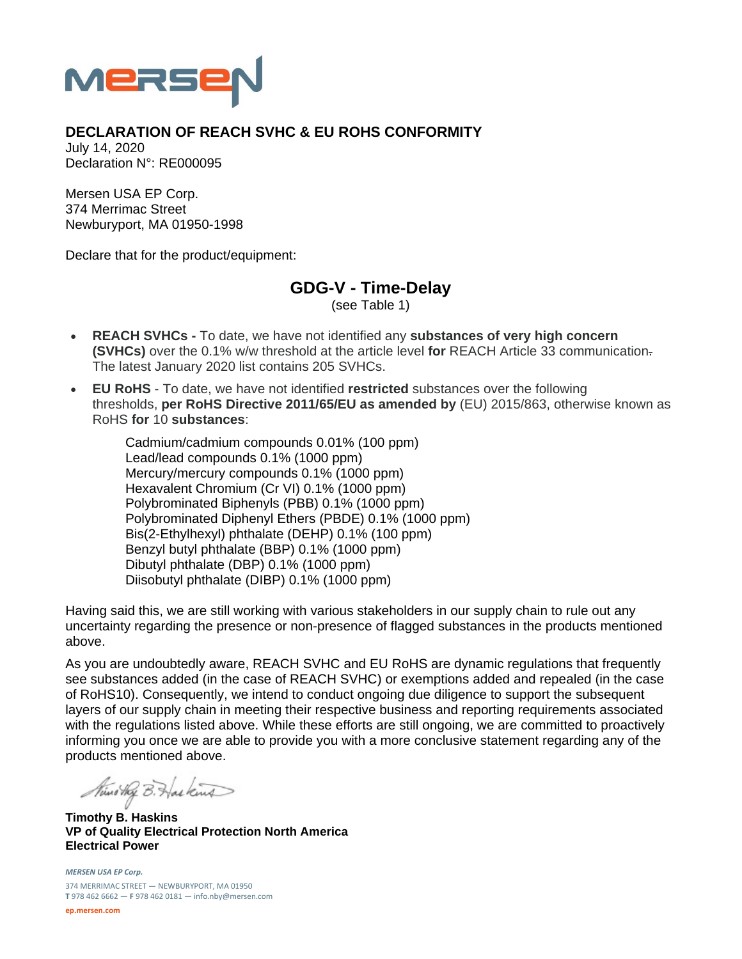

## **DECLARATION OF REACH SVHC & EU ROHS CONFORMITY**

July 14, 2020 Declaration N°: RE000095

Mersen USA EP Corp. 374 Merrimac Street Newburyport, MA 01950-1998

Declare that for the product/equipment:

## **GDG-V - Time-Delay**

(see Table 1)

- **REACH SVHCs** To date, we have not identified any **substances of very high concern (SVHCs)** over the 0.1% w/w threshold at the article level **for** REACH Article 33 communication. The latest January 2020 list contains 205 SVHCs.
- **EU RoHS** To date, we have not identified **restricted** substances over the following thresholds, **per RoHS Directive 2011/65/EU as amended by** (EU) 2015/863, otherwise known as RoHS **for** 10 **substances**:

Cadmium/cadmium compounds 0.01% (100 ppm) Lead/lead compounds 0.1% (1000 ppm) Mercury/mercury compounds 0.1% (1000 ppm) Hexavalent Chromium (Cr VI) 0.1% (1000 ppm) Polybrominated Biphenyls (PBB) 0.1% (1000 ppm) Polybrominated Diphenyl Ethers (PBDE) 0.1% (1000 ppm) Bis(2-Ethylhexyl) phthalate (DEHP) 0.1% (100 ppm) Benzyl butyl phthalate (BBP) 0.1% (1000 ppm) Dibutyl phthalate (DBP) 0.1% (1000 ppm) Diisobutyl phthalate (DIBP) 0.1% (1000 ppm)

Having said this, we are still working with various stakeholders in our supply chain to rule out any uncertainty regarding the presence or non-presence of flagged substances in the products mentioned above.

As you are undoubtedly aware, REACH SVHC and EU RoHS are dynamic regulations that frequently see substances added (in the case of REACH SVHC) or exemptions added and repealed (in the case of RoHS10). Consequently, we intend to conduct ongoing due diligence to support the subsequent layers of our supply chain in meeting their respective business and reporting requirements associated with the regulations listed above. While these efforts are still ongoing, we are committed to proactively informing you once we are able to provide you with a more conclusive statement regarding any of the products mentioned above.

Nuno they B. Has kind

**Timothy B. Haskins VP of Quality Electrical Protection North America Electrical Power** 

*MERSEN USA EP Corp.* 374 MERRIMAC STREET — NEWBURYPORT, MA 01950 **T** 978 462 6662 — **F** 978 462 0181 — info.nby@mersen.com

**ep.mersen.com**